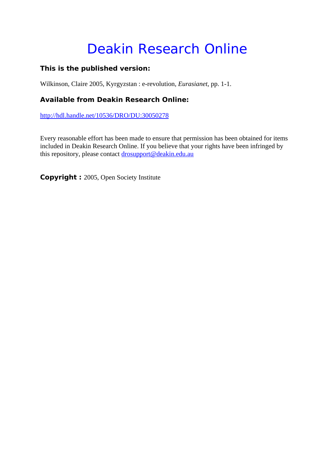# Deakin Research Online

## **This is the published version:**

Wilkinson, Claire 2005, Kyrgyzstan : e-revolution*, Eurasianet*, pp. 1-1.

## **Available from Deakin Research Online:**

http://hdl.handle.net/10536/DRO/DU:30050278

Every reasonable effort has been made to ensure that permission has been obtained for items included in Deakin Research Online. If you believe that your rights have been infringed by this repository, please contact drosupport@deakin.edu.au

**Copyright :** 2005, Open Society Institute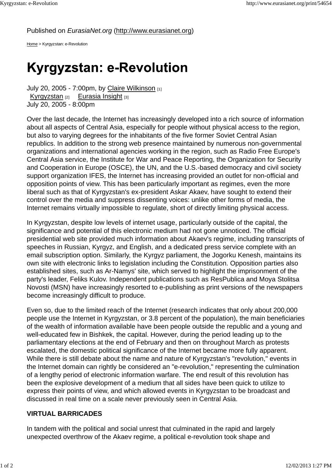### Published on *EurasiaNet.org* (http://www.eurasianet.org)

Home > Kyrgyzstan: e-Revolution

## **Kyrgyzstan: e-Revolution**

July 20, 2005 - 7:00pm, by Claire Wilkinson [1] Kyrgyzstan [2] Eurasia Insight [3] July 20, 2005 - 8:00pm

Over the last decade, the Internet has increasingly developed into a rich source of information about all aspects of Central Asia, especially for people without physical access to the region, but also to varying degrees for the inhabitants of the five former Soviet Central Asian republics. In addition to the strong web presence maintained by numerous non-governmental organizations and international agencies working in the region, such as Radio Free Europe's Central Asia service, the Institute for War and Peace Reporting, the Organization for Security and Cooperation in Europe (OSCE), the UN, and the U.S.-based democracy and civil society support organization IFES, the Internet has increasing provided an outlet for non-official and opposition points of view. This has been particularly important as regimes, even the more liberal such as that of Kyrgyzstan's ex-president Askar Akaev, have sought to extend their control over the media and suppress dissenting voices: unlike other forms of media, the Internet remains virtually impossible to regulate, short of directly limiting physical access.

In Kyrgyzstan, despite low levels of internet usage, particularly outside of the capital, the significance and potential of this electronic medium had not gone unnoticed. The official presidential web site provided much information about Akaev's regime, including transcripts of speeches in Russian, Kyrgyz, and English, and a dedicated press service complete with an email subscription option. Similarly, the Kyrgyz parliament, the Jogorku Kenesh, maintains its own site with electronic links to legislation including the Constitution. Opposition parties also established sites, such as Ar-Namys' site, which served to highlight the imprisonment of the party's leader, Feliks Kulov. Independent publications such as ResPublica and Moya Stolitsa Novosti (MSN) have increasingly resorted to e-publishing as print versions of the newspapers become increasingly difficult to produce.

Even so, due to the limited reach of the Internet (research indicates that only about 200,000 people use the Internet in Kyrgyzstan, or 3.8 percent of the population), the main beneficiaries of the wealth of information available have been people outside the republic and a young and well-educated few in Bishkek, the capital. However, during the period leading up to the parliamentary elections at the end of February and then on throughout March as protests escalated, the domestic political significance of the Internet became more fully apparent. While there is still debate about the name and nature of Kyrgyzstan's "revolution," events in the Internet domain can rightly be considered an "e-revolution," representing the culmination of a lengthy period of electronic information warfare. The end result of this revolution has been the explosive development of a medium that all sides have been quick to utilize to express their points of view, and which allowed events in Kyrgyzstan to be broadcast and discussed in real time on a scale never previously seen in Central Asia.

### **VIRTUAL BARRICADES**

In tandem with the political and social unrest that culminated in the rapid and largely unexpected overthrow of the Akaev regime, a political e-revolution took shape and